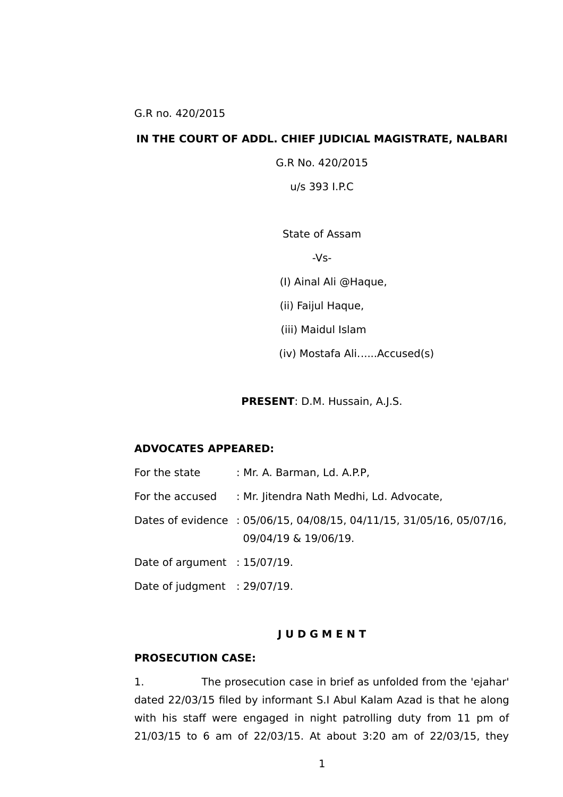#### **IN THE COURT OF ADDL. CHIEF JUDICIAL MAGISTRATE, NALBARI**

G.R No. 420/2015

u/s 393 I.P.C

State of Assam

 $-Vs-$ 

(I) Ainal Ali @Haque,

(ii) Faijul Haque,

(iii) Maidul Islam

(iv) Mostafa Ali......Accused(s)

**PRESENT**: D.M. Hussain, A.J.S.

#### **ADVOCATES APPEARED:**

For the state : Mr. A. Barman, Ld. A.P.P. For the accused : Mr. Jitendra Nath Medhi, Ld. Advocate, Dates of evidence : 05/06/15, 04/08/15, 04/11/15, 31/05/16, 05/07/16, 09/04/19 & 19/06/19. Date of argument : 15/07/19. Date of judgment : 29/07/19.

#### **J U D G M E N T**

#### **PROSECUTION CASE:**

1. The prosecution case in brief as unfolded from the 'ejahar' dated 22/03/15 filed by informant S.I Abul Kalam Azad is that he along with his staff were engaged in night patrolling duty from 11 pm of 21/03/15 to 6 am of 22/03/15. At about 3:20 am of 22/03/15, they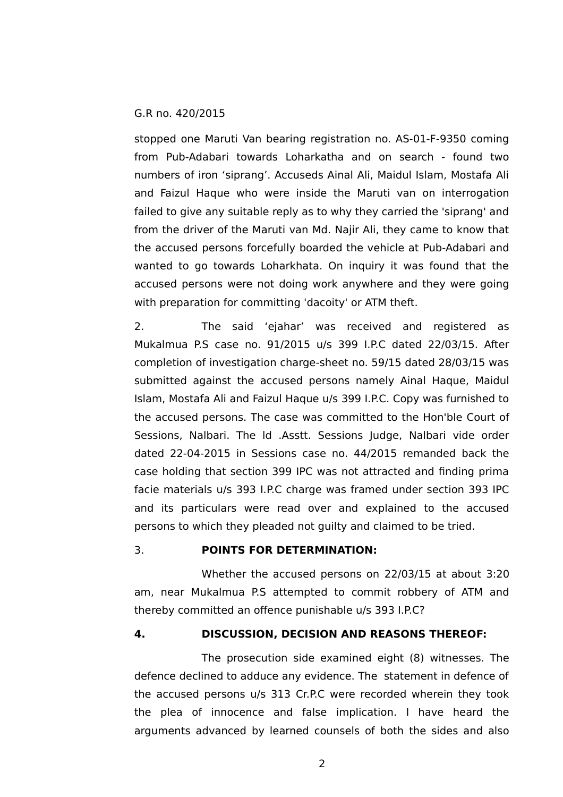stopped one Maruti Van bearing registration no. AS-01-F-9350 coming from Pub-Adabari towards Loharkatha and on search - found two numbers of iron 'siprang'. Accuseds Ainal Ali, Maidul Islam, Mostafa Ali and Faizul Haque who were inside the Maruti van on interrogation failed to give any suitable reply as to why they carried the 'siprang' and from the driver of the Maruti van Md. Najir Ali, they came to know that the accused persons forcefully boarded the vehicle at Pub-Adabari and wanted to go towards Loharkhata. On inquiry it was found that the accused persons were not doing work anywhere and they were going with preparation for committing 'dacoity' or ATM theft.

2. The said 'ejahar' was received and registered as Mukalmua P.S case no. 91/2015 u/s 399 I.P.C dated 22/03/15. After completion of investigation charge-sheet no. 59/15 dated 28/03/15 was submitted against the accused persons namely Ainal Haque, Maidul Islam, Mostafa Ali and Faizul Haque u/s 399 I.P.C. Copy was furnished to the accused persons. The case was committed to the Hon'ble Court of Sessions, Nalbari. The ld .Asstt. Sessions Judge, Nalbari vide order dated 22-04-2015 in Sessions case no. 44/2015 remanded back the case holding that section 399 IPC was not attracted and finding prima facie materials u/s 393 I.P.C charge was framed under section 393 IPC and its particulars were read over and explained to the accused persons to which they pleaded not guilty and claimed to be tried.

# 3. **POINTS FOR DETERMINATION:**

Whether the accused persons on 22/03/15 at about 3:20 am, near Mukalmua P.S attempted to commit robbery of ATM and thereby committed an offence punishable u/s 393 I.P.C?

### **4. DISCUSSION, DECISION AND REASONS THEREOF:**

The prosecution side examined eight (8) witnesses. The defence declined to adduce any evidence. The statement in defence of the accused persons u/s 313 Cr.P.C were recorded wherein they took the plea of innocence and false implication. I have heard the arguments advanced by learned counsels of both the sides and also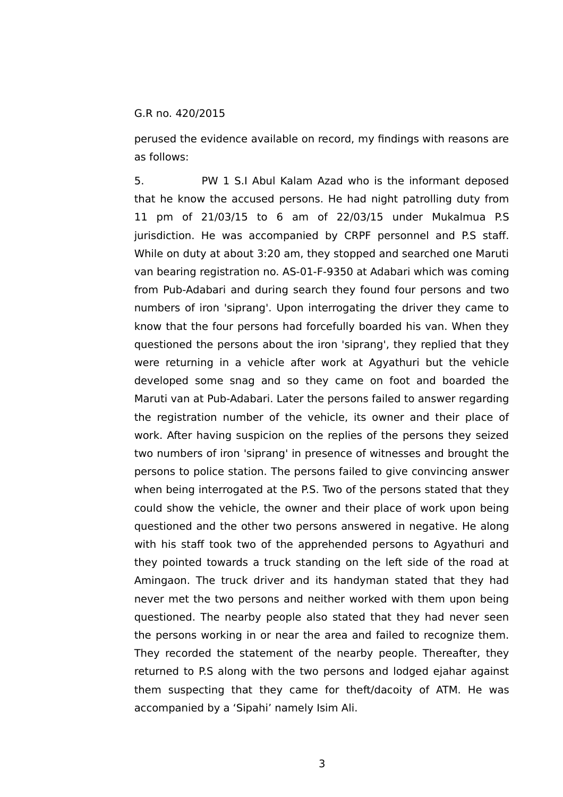perused the evidence available on record, my findings with reasons are as follows:

5. PW 1 S.I Abul Kalam Azad who is the informant deposed that he know the accused persons. He had night patrolling duty from 11 pm of 21/03/15 to 6 am of 22/03/15 under Mukalmua P.S jurisdiction. He was accompanied by CRPF personnel and P.S staff. While on duty at about 3:20 am, they stopped and searched one Maruti van bearing registration no. AS-01-F-9350 at Adabari which was coming from Pub-Adabari and during search they found four persons and two numbers of iron 'siprang'. Upon interrogating the driver they came to know that the four persons had forcefully boarded his van. When they questioned the persons about the iron 'siprang', they replied that they were returning in a vehicle after work at Agyathuri but the vehicle developed some snag and so they came on foot and boarded the Maruti van at Pub-Adabari. Later the persons failed to answer regarding the registration number of the vehicle, its owner and their place of work. After having suspicion on the replies of the persons they seized two numbers of iron 'siprang' in presence of witnesses and brought the persons to police station. The persons failed to give convincing answer when being interrogated at the P.S. Two of the persons stated that they could show the vehicle, the owner and their place of work upon being questioned and the other two persons answered in negative. He along with his staff took two of the apprehended persons to Agyathuri and they pointed towards a truck standing on the left side of the road at Amingaon. The truck driver and its handyman stated that they had never met the two persons and neither worked with them upon being questioned. The nearby people also stated that they had never seen the persons working in or near the area and failed to recognize them. They recorded the statement of the nearby people. Thereafter, they returned to P.S along with the two persons and lodged ejahar against them suspecting that they came for theft/dacoity of ATM. He was accompanied by a 'Sipahi' namely Isim Ali.

3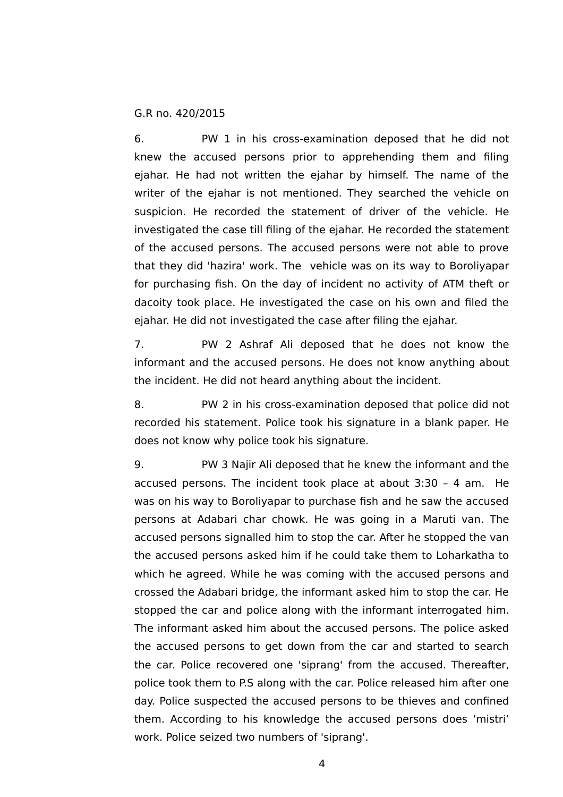6. PW 1 in his cross-examination deposed that he did not knew the accused persons prior to apprehending them and filing ejahar. He had not written the ejahar by himself. The name of the writer of the ejahar is not mentioned. They searched the vehicle on suspicion. He recorded the statement of driver of the vehicle. He investigated the case till filing of the ejahar. He recorded the statement of the accused persons. The accused persons were not able to prove that they did 'hazira' work. The vehicle was on its way to Boroliyapar for purchasing fish. On the day of incident no activity of ATM theft or dacoity took place. He investigated the case on his own and filed the ejahar. He did not investigated the case after filing the ejahar.

7. PW 2 Ashraf Ali deposed that he does not know the informant and the accused persons. He does not know anything about the incident. He did not heard anything about the incident.

8. PW 2 in his cross-examination deposed that police did not recorded his statement. Police took his signature in a blank paper. He does not know why police took his signature.

9. PW 3 Najir Ali deposed that he knew the informant and the accused persons. The incident took place at about 3:30 – 4 am. He was on his way to Boroliyapar to purchase fish and he saw the accused persons at Adabari char chowk. He was going in a Maruti van. The accused persons signalled him to stop the car. After he stopped the van the accused persons asked him if he could take them to Loharkatha to which he agreed. While he was coming with the accused persons and crossed the Adabari bridge, the informant asked him to stop the car. He stopped the car and police along with the informant interrogated him. The informant asked him about the accused persons. The police asked the accused persons to get down from the car and started to search the car. Police recovered one 'siprang' from the accused. Thereafter, police took them to P.S along with the car. Police released him after one day. Police suspected the accused persons to be thieves and confined them. According to his knowledge the accused persons does 'mistri' work. Police seized two numbers of 'siprang'.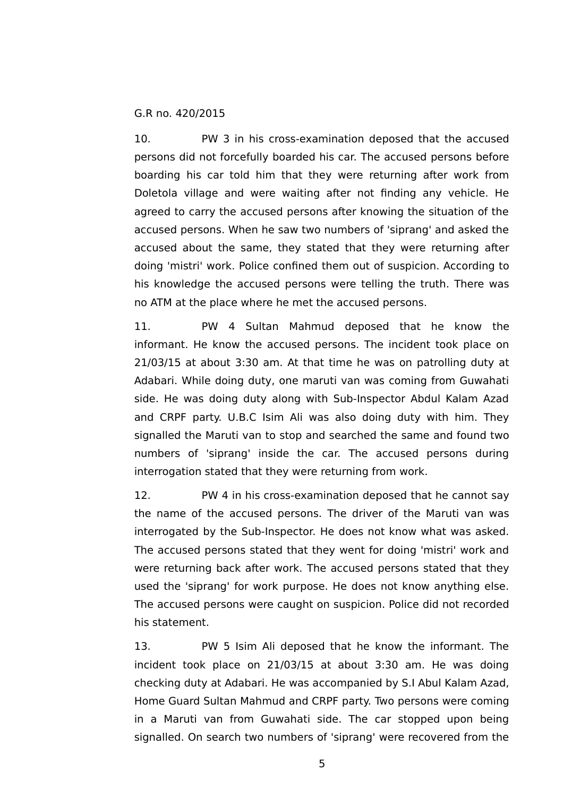10. PW 3 in his cross-examination deposed that the accused persons did not forcefully boarded his car. The accused persons before boarding his car told him that they were returning after work from Doletola village and were waiting after not finding any vehicle. He agreed to carry the accused persons after knowing the situation of the accused persons. When he saw two numbers of 'siprang' and asked the accused about the same, they stated that they were returning after doing 'mistri' work. Police confined them out of suspicion. According to his knowledge the accused persons were telling the truth. There was no ATM at the place where he met the accused persons.

11. PW 4 Sultan Mahmud deposed that he know the informant. He know the accused persons. The incident took place on 21/03/15 at about 3:30 am. At that time he was on patrolling duty at Adabari. While doing duty, one maruti van was coming from Guwahati side. He was doing duty along with Sub-Inspector Abdul Kalam Azad and CRPF party. U.B.C Isim Ali was also doing duty with him. They signalled the Maruti van to stop and searched the same and found two numbers of 'siprang' inside the car. The accused persons during interrogation stated that they were returning from work.

12. PW 4 in his cross-examination deposed that he cannot say the name of the accused persons. The driver of the Maruti van was interrogated by the Sub-Inspector. He does not know what was asked. The accused persons stated that they went for doing 'mistri' work and were returning back after work. The accused persons stated that they used the 'siprang' for work purpose. He does not know anything else. The accused persons were caught on suspicion. Police did not recorded his statement.

13. PW 5 Isim Ali deposed that he know the informant. The incident took place on 21/03/15 at about 3:30 am. He was doing checking duty at Adabari. He was accompanied by S.I Abul Kalam Azad, Home Guard Sultan Mahmud and CRPF party. Two persons were coming in a Maruti van from Guwahati side. The car stopped upon being signalled. On search two numbers of 'siprang' were recovered from the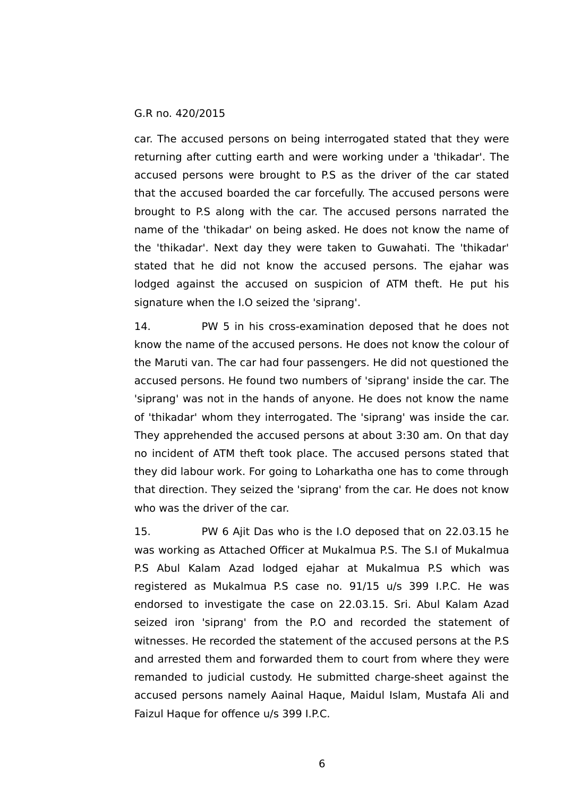car. The accused persons on being interrogated stated that they were returning after cutting earth and were working under a 'thikadar'. The accused persons were brought to P.S as the driver of the car stated that the accused boarded the car forcefully. The accused persons were brought to P.S along with the car. The accused persons narrated the name of the 'thikadar' on being asked. He does not know the name of the 'thikadar'. Next day they were taken to Guwahati. The 'thikadar' stated that he did not know the accused persons. The ejahar was lodged against the accused on suspicion of ATM theft. He put his signature when the I.O seized the 'siprang'.

14. PW 5 in his cross-examination deposed that he does not know the name of the accused persons. He does not know the colour of the Maruti van. The car had four passengers. He did not questioned the accused persons. He found two numbers of 'siprang' inside the car. The 'siprang' was not in the hands of anyone. He does not know the name of 'thikadar' whom they interrogated. The 'siprang' was inside the car. They apprehended the accused persons at about 3:30 am. On that day no incident of ATM theft took place. The accused persons stated that they did labour work. For going to Loharkatha one has to come through that direction. They seized the 'siprang' from the car. He does not know who was the driver of the car.

15. PW 6 Ajit Das who is the I.O deposed that on 22.03.15 he was working as Attached Officer at Mukalmua P.S. The S.I of Mukalmua P.S Abul Kalam Azad lodged ejahar at Mukalmua P.S which was registered as Mukalmua P.S case no. 91/15 u/s 399 I.P.C. He was endorsed to investigate the case on 22.03.15. Sri. Abul Kalam Azad seized iron 'siprang' from the P.O and recorded the statement of witnesses. He recorded the statement of the accused persons at the P.S and arrested them and forwarded them to court from where they were remanded to judicial custody. He submitted charge-sheet against the accused persons namely Aainal Haque, Maidul Islam, Mustafa Ali and Faizul Haque for offence u/s 399 I.P.C.

6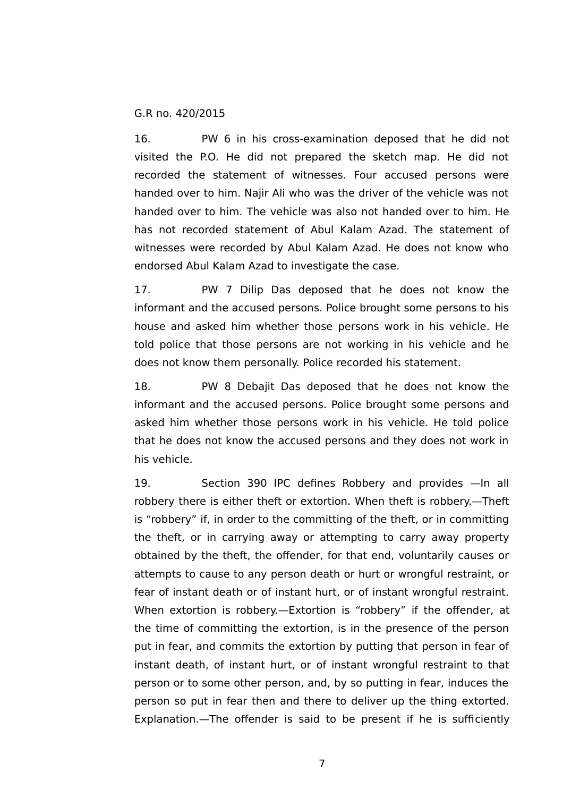16. PW 6 in his cross-examination deposed that he did not visited the P.O. He did not prepared the sketch map. He did not recorded the statement of witnesses. Four accused persons were handed over to him. Najir Ali who was the driver of the vehicle was not handed over to him. The vehicle was also not handed over to him. He has not recorded statement of Abul Kalam Azad. The statement of witnesses were recorded by Abul Kalam Azad. He does not know who endorsed Abul Kalam Azad to investigate the case.

17. PW 7 Dilip Das deposed that he does not know the informant and the accused persons. Police brought some persons to his house and asked him whether those persons work in his vehicle. He told police that those persons are not working in his vehicle and he does not know them personally. Police recorded his statement.

18. PW 8 Debajit Das deposed that he does not know the informant and the accused persons. Police brought some persons and asked him whether those persons work in his vehicle. He told police that he does not know the accused persons and they does not work in his vehicle.

19. Section 390 IPC defines Robbery and provides —In all robbery there is either theft or extortion. When theft is robbery.—Theft is "robbery" if, in order to the committing of the theft, or in committing the theft, or in carrying away or attempting to carry away property obtained by the theft, the offender, for that end, voluntarily causes or attempts to cause to any person death or hurt or wrongful restraint, or fear of instant death or of instant hurt, or of instant wrongful restraint. When extortion is robbery.—Extortion is "robbery" if the offender, at the time of committing the extortion, is in the presence of the person put in fear, and commits the extortion by putting that person in fear of instant death, of instant hurt, or of instant wrongful restraint to that person or to some other person, and, by so putting in fear, induces the person so put in fear then and there to deliver up the thing extorted. Explanation.—The offender is said to be present if he is sufficiently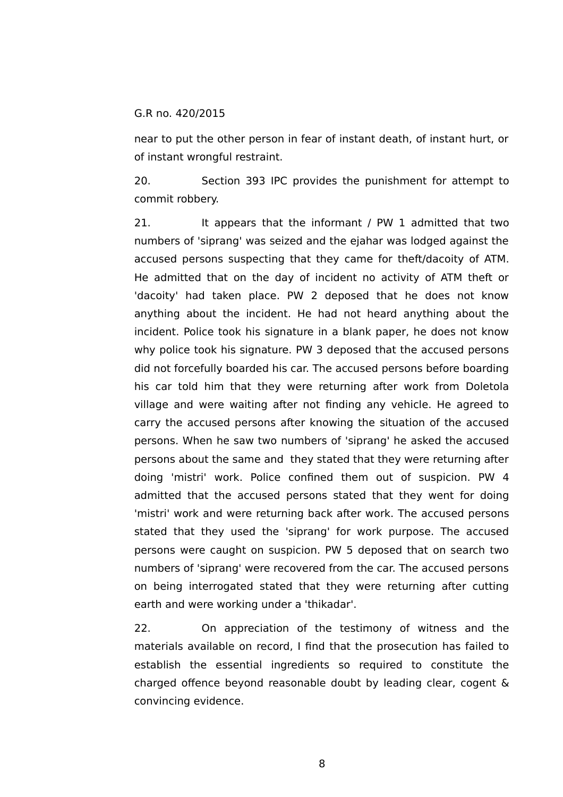near to put the other person in fear of instant death, of instant hurt, or of instant wrongful restraint.

20. Section 393 IPC provides the punishment for attempt to commit robbery.

21. It appears that the informant / PW 1 admitted that two numbers of 'siprang' was seized and the ejahar was lodged against the accused persons suspecting that they came for theft/dacoity of ATM. He admitted that on the day of incident no activity of ATM theft or 'dacoity' had taken place. PW 2 deposed that he does not know anything about the incident. He had not heard anything about the incident. Police took his signature in a blank paper, he does not know why police took his signature. PW 3 deposed that the accused persons did not forcefully boarded his car. The accused persons before boarding his car told him that they were returning after work from Doletola village and were waiting after not finding any vehicle. He agreed to carry the accused persons after knowing the situation of the accused persons. When he saw two numbers of 'siprang' he asked the accused persons about the same and they stated that they were returning after doing 'mistri' work. Police confined them out of suspicion. PW 4 admitted that the accused persons stated that they went for doing 'mistri' work and were returning back after work. The accused persons stated that they used the 'siprang' for work purpose. The accused persons were caught on suspicion. PW 5 deposed that on search two numbers of 'siprang' were recovered from the car. The accused persons on being interrogated stated that they were returning after cutting earth and were working under a 'thikadar'.

22. On appreciation of the testimony of witness and the materials available on record, I find that the prosecution has failed to establish the essential ingredients so required to constitute the charged offence beyond reasonable doubt by leading clear, cogent & convincing evidence.

8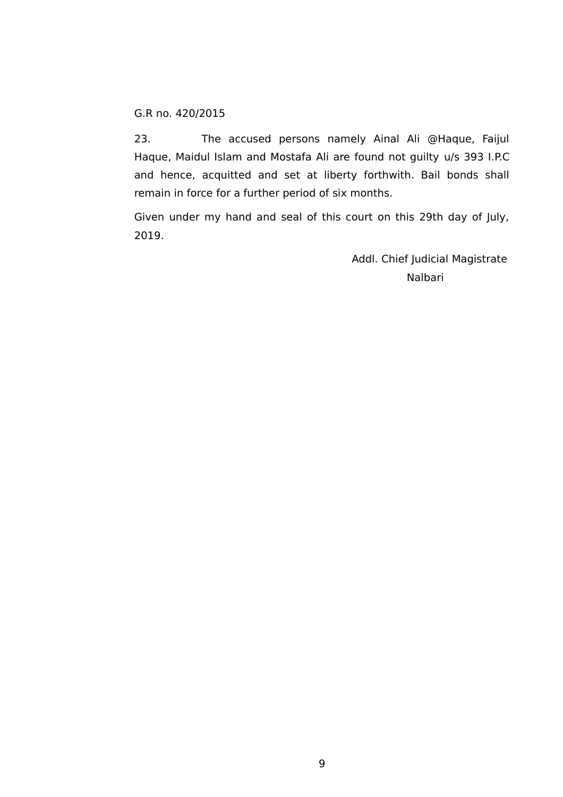23. The accused persons namely Ainal Ali @Haque, Faijul Haque, Maidul Islam and Mostafa Ali are found not guilty u/s 393 I.P.C and hence, acquitted and set at liberty forthwith. Bail bonds shall remain in force for a further period of six months.

Given under my hand and seal of this court on this 29th day of July, 2019.

> Addl. Chief Judicial Magistrate Nalbari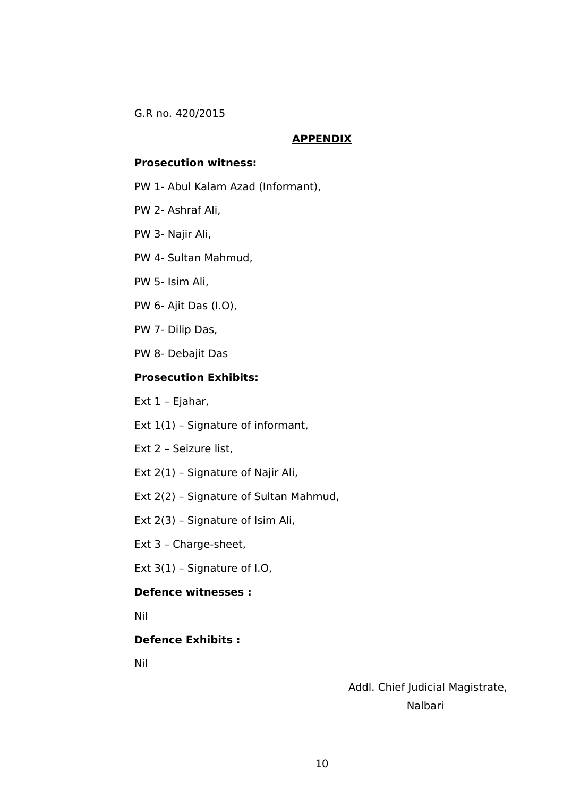#### **APPENDIX**

#### **Prosecution witness:**

- PW 1- Abul Kalam Azad (Informant),
- PW 2- Ashraf Ali,
- PW 3- Najir Ali,
- PW 4- Sultan Mahmud,
- PW 5- Isim Ali,
- PW 6- Ajit Das (I.O),
- PW 7- Dilip Das,
- PW 8- Debajit Das

### **Prosecution Exhibits:**

- Ext 1 Ejahar,
- Ext 1(1) Signature of informant,
- Ext 2 Seizure list,
- Ext 2(1) Signature of Najir Ali,
- Ext 2(2) Signature of Sultan Mahmud,
- Ext 2(3) Signature of Isim Ali,
- Ext 3 Charge-sheet,
- Ext 3(1) Signature of I.O,

## **Defence witnesses :**

Nil

# **Defence Exhibits :**

Nil

 Addl. Chief Judicial Magistrate, Nalbari